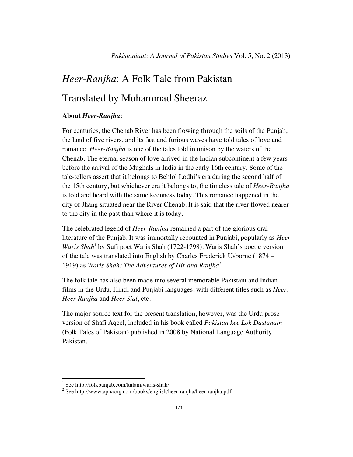## *Heer-Ranjha*: A Folk Tale from Pakistan Translated by Muhammad Sheeraz

## **About** *Heer-Ranjha***:**

For centuries, the Chenab River has been flowing through the soils of the Punjab, the land of five rivers, and its fast and furious waves have told tales of love and romance. *Heer-Ranjha* is one of the tales told in unison by the waters of the Chenab. The eternal season of love arrived in the Indian subcontinent a few years before the arrival of the Mughals in India in the early 16th century. Some of the tale-tellers assert that it belongs to Behlol Lodhi's era during the second half of the 15th century, but whichever era it belongs to, the timeless tale of *Heer-Ranjha* is told and heard with the same keenness today. This romance happened in the city of Jhang situated near the River Chenab. It is said that the river flowed nearer to the city in the past than where it is today.

The celebrated legend of *Heer-Ranjha* remained a part of the glorious oral literature of the Punjab. It was immortally recounted in Punjabi, popularly as *Heer* Waris Shah<sup>1</sup> by Sufi poet Waris Shah (1722-1798). Waris Shah's poetic version of the tale was translated into English by Charles Frederick Usborne (1874 – 1919) as *Waris Shah: The Adventures of Hir and Ranjha*<sup>2</sup> .

The folk tale has also been made into several memorable Pakistani and Indian films in the Urdu, Hindi and Punjabi languages, with different titles such as *Heer*, *Heer Ranjha* and *Heer Sial*, etc.

The major source text for the present translation, however, was the Urdu prose version of Shafi Aqeel, included in his book called *Pakistan kee Lok Dastanain* (Folk Tales of Pakistan) published in 2008 by National Language Authority Pakistan.

<sup>&</sup>lt;sup>1</sup> See http://folkpunjab.com/kalam/waris-shah/<br><sup>2</sup> See http://www.apnaorg.com/books/english/heer-ranjha/heer-ranjha.pdf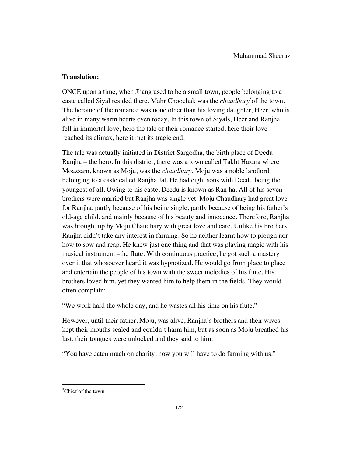## **Translation:**

ONCE upon a time, when Jhang used to be a small town, people belonging to a caste called Siyal resided there. Mahr Choochak was the *chaudhary*<sup>3</sup> of the town. The heroine of the romance was none other than his loving daughter, Heer, who is alive in many warm hearts even today. In this town of Siyals, Heer and Ranjha fell in immortal love, here the tale of their romance started, here their love reached its climax, here it met its tragic end.

The tale was actually initiated in District Sargodha, the birth place of Deedu Ranjha – the hero. In this district, there was a town called Takht Hazara where Moazzam, known as Moju, was the *chaudhary*. Moju was a noble landlord belonging to a caste called Ranjha Jat. He had eight sons with Deedu being the youngest of all. Owing to his caste, Deedu is known as Ranjha. All of his seven brothers were married but Ranjha was single yet. Moju Chaudhary had great love for Ranjha, partly because of his being single, partly because of being his father's old-age child, and mainly because of his beauty and innocence. Therefore, Ranjha was brought up by Moju Chaudhary with great love and care. Unlike his brothers, Ranjha didn't take any interest in farming. So he neither learnt how to plough nor how to sow and reap. He knew just one thing and that was playing magic with his musical instrument –the flute. With continuous practice, he got such a mastery over it that whosoever heard it was hypnotized. He would go from place to place and entertain the people of his town with the sweet melodies of his flute. His brothers loved him, yet they wanted him to help them in the fields. They would often complain:

"We work hard the whole day, and he wastes all his time on his flute."

However, until their father, Moju, was alive, Ranjha's brothers and their wives kept their mouths sealed and couldn't harm him, but as soon as Moju breathed his last, their tongues were unlocked and they said to him:

"You have eaten much on charity, now you will have to do farming with us."

<sup>&</sup>lt;sup>3</sup>Chief of the town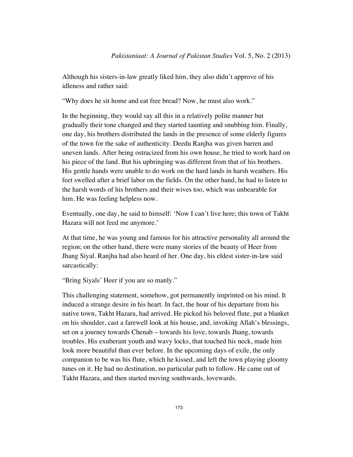Although his sisters-in-law greatly liked him, they also didn't approve of his idleness and rather said:

"Why does he sit home and eat free bread? Now, he must also work."

In the beginning, they would say all this in a relatively polite manner but gradually their tone changed and they started taunting and snubbing him. Finally, one day, his brothers distributed the lands in the presence of some elderly figures of the town for the sake of authenticity. Deedu Ranjha was given barren and uneven lands. After being ostracized from his own house, he tried to work hard on his piece of the land. But his upbringing was different from that of his brothers. His gentle hands were unable to do work on the hard lands in harsh weathers. His feet swelled after a brief labor on the fields. On the other hand, he had to listen to the harsh words of his brothers and their wives too, which was unbearable for him. He was feeling helpless now.

Eventually, one day, he said to himself: 'Now I can't live here; this town of Takht Hazara will not feed me anymore.'

At that time, he was young and famous for his attractive personality all around the region; on the other hand, there were many stories of the beauty of Heer from Jhang Siyal. Ranjha had also heard of her. One day, his eldest sister-in-law said sarcastically:

"Bring Siyals' Heer if you are so manly."

This challenging statement, somehow, got permanently imprinted on his mind. It induced a strange desire in his heart. In fact, the hour of his departure from his native town, Takht Hazara, had arrived. He picked his beloved flute, put a blanket on his shoulder, cast a farewell look at his house, and, invoking Allah's blessings, set on a journey towards Chenab – towards his love, towards Jhang, towards troubles. His exuberant youth and wavy locks, that touched his neck, made him look more beautiful than ever before. In the upcoming days of exile, the only companion to be was his flute, which he kissed, and left the town playing gloomy tunes on it. He had no destination, no particular path to follow. He came out of Takht Hazara, and then started moving southwards, lovewards.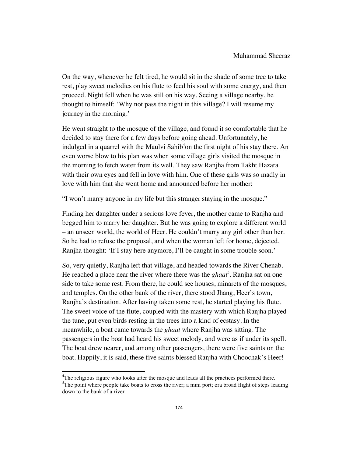On the way, whenever he felt tired, he would sit in the shade of some tree to take rest, play sweet melodies on his flute to feed his soul with some energy, and then proceed. Night fell when he was still on his way. Seeing a village nearby, he thought to himself: 'Why not pass the night in this village? I will resume my journey in the morning.'

He went straight to the mosque of the village, and found it so comfortable that he decided to stay there for a few days before going ahead. Unfortunately, he indulged in a quarrel with the Maulvi Sahib<sup>4</sup>on the first night of his stay there. An even worse blow to his plan was when some village girls visited the mosque in the morning to fetch water from its well. They saw Ranjha from Takht Hazara with their own eyes and fell in love with him. One of these girls was so madly in love with him that she went home and announced before her mother:

"I won't marry anyone in my life but this stranger staying in the mosque."

Finding her daughter under a serious love fever, the mother came to Ranjha and begged him to marry her daughter. But he was going to explore a different world – an unseen world, the world of Heer. He couldn't marry any girl other than her. So he had to refuse the proposal, and when the woman left for home, dejected, Ranjha thought: 'If I stay here anymore, I'll be caught in some trouble soon.'

So, very quietly, Ranjha left that village, and headed towards the River Chenab. He reached a place near the river where there was the *ghaat*<sup>5</sup>. Ranjha sat on one side to take some rest. From there, he could see houses, minarets of the mosques, and temples. On the other bank of the river, there stood Jhang, Heer's town, Ranjha's destination. After having taken some rest, he started playing his flute. The sweet voice of the flute, coupled with the mastery with which Ranjha played the tune, put even birds resting in the trees into a kind of ecstasy. In the meanwhile, a boat came towards the *ghaat* where Ranjha was sitting. The passengers in the boat had heard his sweet melody, and were as if under its spell. The boat drew nearer, and among other passengers, there were five saints on the boat. Happily, it is said, these five saints blessed Ranjha with Choochak's Heer!

<sup>&</sup>lt;sup>4</sup>The religious figure who looks after the mosque and leads all the practices performed there.

 ${}^{5}$ The point where people take boats to cross the river; a mini port; ora broad flight of steps leading down to the bank of a river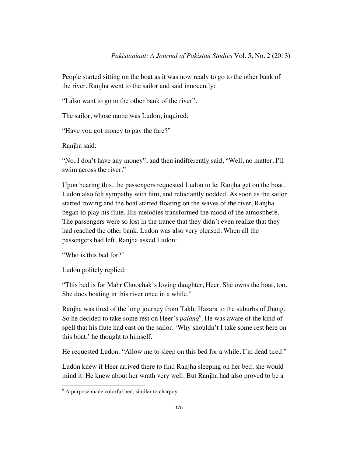People started sitting on the boat as it was now ready to go to the other bank of the river. Ranjha went to the sailor and said innocently:

"I also want to go to the other bank of the river".

The sailor, whose name was Ludon, inquired:

"Have you got money to pay the fare?"

Ranjha said:

"No, I don't have any money", and then indifferently said, "Well, no matter, I'll swim across the river."

Upon hearing this, the passengers requested Ludon to let Ranjha get on the boat. Ludon also felt sympathy with him, and reluctantly nodded. As soon as the sailor started rowing and the boat started floating on the waves of the river, Ranjha began to play his flute. His melodies transformed the mood of the atmosphere. The passengers were so lost in the trance that they didn't even realize that they had reached the other bank. Ludon was also very pleased. When all the passengers had left, Ranjha asked Ludon:

"Who is this bed for?"

Ludon politely replied:

"This bed is for Mahr Choochak's loving daughter, Heer. She owns the boat, too. She does boating in this river once in a while."

Ranjha was tired of the long journey from Takht Hazara to the suburbs of Jhang. So he decided to take some rest on Heer's *palang*<sup>6</sup>. He was aware of the kind of spell that his flute had cast on the sailor. 'Why shouldn't I take some rest here on this boat,' he thought to himself.

He requested Ludon: "Allow me to sleep on this bed for a while. I'm dead tired."

Ludon knew if Heer arrived there to find Ranjha sleeping on her bed, she would mind it. He knew about her wrath very well. But Ranjha had also proved to be a

 $<sup>6</sup>$  A purpose made colorful bed, similar to charpoy</sup>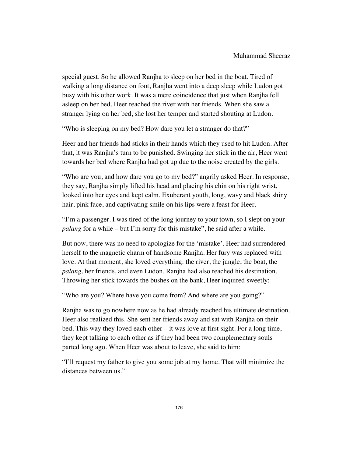special guest. So he allowed Ranjha to sleep on her bed in the boat. Tired of walking a long distance on foot, Ranjha went into a deep sleep while Ludon got busy with his other work. It was a mere coincidence that just when Ranjha fell asleep on her bed, Heer reached the river with her friends. When she saw a stranger lying on her bed, she lost her temper and started shouting at Ludon.

"Who is sleeping on my bed? How dare you let a stranger do that?"

Heer and her friends had sticks in their hands which they used to hit Ludon. After that, it was Ranjha's turn to be punished. Swinging her stick in the air, Heer went towards her bed where Ranjha had got up due to the noise created by the girls.

"Who are you, and how dare you go to my bed?" angrily asked Heer. In response, they say, Ranjha simply lifted his head and placing his chin on his right wrist, looked into her eyes and kept calm. Exuberant youth, long, wavy and black shiny hair, pink face, and captivating smile on his lips were a feast for Heer.

"I'm a passenger. I was tired of the long journey to your town, so I slept on your *palang* for a while – but I'm sorry for this mistake", he said after a while.

But now, there was no need to apologize for the 'mistake'. Heer had surrendered herself to the magnetic charm of handsome Ranjha. Her fury was replaced with love. At that moment, she loved everything: the river, the jungle, the boat, the *palang*, her friends, and even Ludon. Ranjha had also reached his destination. Throwing her stick towards the bushes on the bank, Heer inquired sweetly:

"Who are you? Where have you come from? And where are you going?"

Ranjha was to go nowhere now as he had already reached his ultimate destination. Heer also realized this. She sent her friends away and sat with Ranjha on their bed. This way they loved each other – it was love at first sight. For a long time, they kept talking to each other as if they had been two complementary souls parted long ago. When Heer was about to leave, she said to him:

"I'll request my father to give you some job at my home. That will minimize the distances between us."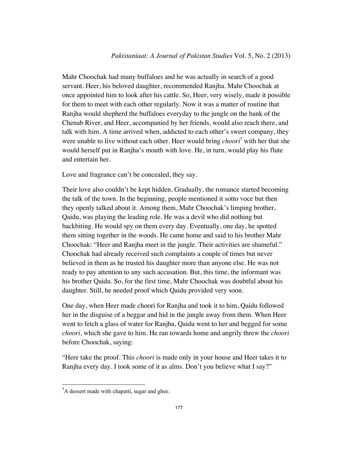Mahr Choochak had many buffaloes and he was actually in search of a good servant. Heer, his beloved daughter, recommended Ranjha. Mahr Choochak at once appointed him to look after his cattle. So, Heer, very wisely, made it possible for them to meet with each other regularly. Now it was a matter of routine that Ranjha would shepherd the buffaloes everyday to the jungle on the bank of the Chenab River, and Heer, accompanied by her friends, would also reach there, and talk with him. A time arrived when, addicted to each other's sweet company, they were unable to live without each other. Heer would bring *choori*<sup>7</sup> with her that she would herself put in Ranjha's mouth with love. He, in turn, would play his flute and entertain her.

Love and fragrance can't be concealed, they say.

Their love also couldn't be kept hidden. Gradually, the romance started becoming the talk of the town. In the beginning, people mentioned it sotto voce but then they openly talked about it. Among them, Mahr Choochak's limping brother, Qaidu, was playing the leading role. He was a devil who did nothing but backbiting. He would spy on them every day. Eventually, one day, he spotted them sitting together in the woods. He came home and said to his brother Mahr Choochak: "Heer and Ranjha meet in the jungle. Their activities are shameful." Choochak had already received such complaints a couple of times but never believed in them as he trusted his daughter more than anyone else. He was not ready to pay attention to any such accusation. But, this time, the informant was his brother Qaidu. So, for the first time, Mahr Choochak was doubtful about his daughter. Still, he needed proof which Qaidu provided very soon.

One day, when Heer made choori for Ranjha and took it to him, Qaidu followed her in the disguise of a beggar and hid in the jungle away from them. When Heer went to fetch a glass of water for Ranjha, Qaidu went to her and begged for some *choori*, which she gave to him. He ran towards home and angrily threw the *choori* before Choochak, saying:

"Here take the proof. This *choori* is made only in your house and Heer takes it to Ranjha every day. I took some of it as alms. Don't you believe what I say?"

<sup>&</sup>lt;sup>7</sup>A dessert made with chapatti, sugar and ghee.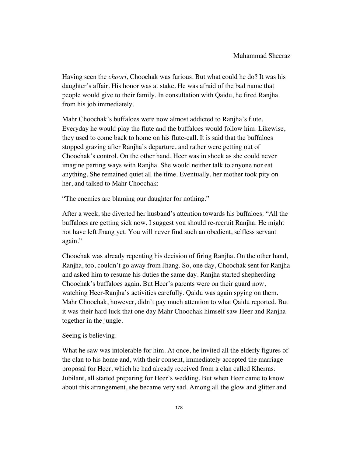Having seen the *choori*, Choochak was furious. But what could he do? It was his daughter's affair. His honor was at stake. He was afraid of the bad name that people would give to their family. In consultation with Qaidu, he fired Ranjha from his job immediately.

Mahr Choochak's buffaloes were now almost addicted to Ranjha's flute. Everyday he would play the flute and the buffaloes would follow him. Likewise, they used to come back to home on his flute-call. It is said that the buffaloes stopped grazing after Ranjha's departure, and rather were getting out of Choochak's control. On the other hand, Heer was in shock as she could never imagine parting ways with Ranjha. She would neither talk to anyone nor eat anything. She remained quiet all the time. Eventually, her mother took pity on her, and talked to Mahr Choochak:

"The enemies are blaming our daughter for nothing."

After a week, she diverted her husband's attention towards his buffaloes: "All the buffaloes are getting sick now. I suggest you should re-recruit Ranjha. He might not have left Jhang yet. You will never find such an obedient, selfless servant again."

Choochak was already repenting his decision of firing Ranjha. On the other hand, Ranjha, too, couldn't go away from Jhang. So, one day, Choochak sent for Ranjha and asked him to resume his duties the same day. Ranjha started shepherding Choochak's buffaloes again. But Heer's parents were on their guard now, watching Heer-Ranjha's activities carefully. Qaidu was again spying on them. Mahr Choochak, however, didn't pay much attention to what Qaidu reported. But it was their hard luck that one day Mahr Choochak himself saw Heer and Ranjha together in the jungle.

## Seeing is believing.

What he saw was intolerable for him. At once, he invited all the elderly figures of the clan to his home and, with their consent, immediately accepted the marriage proposal for Heer, which he had already received from a clan called Kherras. Jubilant, all started preparing for Heer's wedding. But when Heer came to know about this arrangement, she became very sad. Among all the glow and glitter and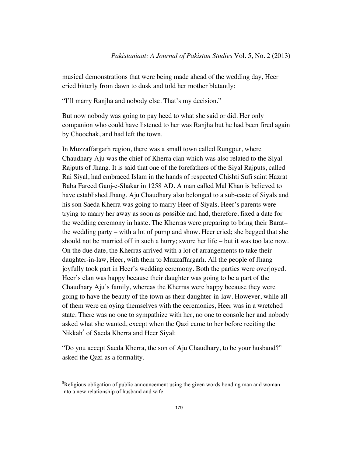musical demonstrations that were being made ahead of the wedding day, Heer cried bitterly from dawn to dusk and told her mother blatantly:

"I'll marry Ranjha and nobody else. That's my decision."

But now nobody was going to pay heed to what she said or did. Her only companion who could have listened to her was Ranjha but he had been fired again by Choochak, and had left the town.

In Muzzaffargarh region, there was a small town called Rungpur, where Chaudhary Aju was the chief of Kherra clan which was also related to the Siyal Rajputs of Jhang. It is said that one of the forefathers of the Siyal Rajputs, called Rai Siyal, had embraced Islam in the hands of respected Chishti Sufi saint Hazrat Baba Fareed Ganj-e-Shakar in 1258 AD. A man called Mal Khan is believed to have established Jhang. Aju Chaudhary also belonged to a sub-caste of Siyals and his son Saeda Kherra was going to marry Heer of Siyals. Heer's parents were trying to marry her away as soon as possible and had, therefore, fixed a date for the wedding ceremony in haste. The Kherras were preparing to bring their Barat– the wedding party – with a lot of pump and show. Heer cried; she begged that she should not be married off in such a hurry; swore her life – but it was too late now. On the due date, the Kherras arrived with a lot of arrangements to take their daughter-in-law, Heer, with them to Muzzaffargarh. All the people of Jhang joyfully took part in Heer's wedding ceremony. Both the parties were overjoyed. Heer's clan was happy because their daughter was going to be a part of the Chaudhary Aju's family, whereas the Kherras were happy because they were going to have the beauty of the town as their daughter-in-law. However, while all of them were enjoying themselves with the ceremonies, Heer was in a wretched state. There was no one to sympathize with her, no one to console her and nobody asked what she wanted, except when the Qazi came to her before reciting the Nikkah<sup>8</sup> of Saeda Kherra and Heer Siyal:

"Do you accept Saeda Kherra, the son of Aju Chaudhary, to be your husband?" asked the Qazi as a formality.

<sup>&</sup>lt;sup>8</sup>Religious obligation of public announcement using the given words bonding man and woman into a new relationship of husband and wife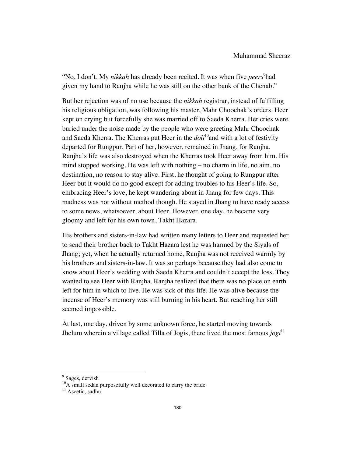"No, I don't. My *nikkah* has already been recited. It was when five *peers*<sup>9</sup>had given my hand to Ranjha while he was still on the other bank of the Chenab."

But her rejection was of no use because the *nikkah* registrar, instead of fulfilling his religious obligation, was following his master, Mahr Choochak's orders. Heer kept on crying but forcefully she was married off to Saeda Kherra. Her cries were buried under the noise made by the people who were greeting Mahr Choochak and Saeda Kherra. The Kherras put Heer in the *doli*<sup>10</sup>and with a lot of festivity departed for Rungpur. Part of her, however, remained in Jhang, for Ranjha. Ranjha's life was also destroyed when the Kherras took Heer away from him. His mind stopped working. He was left with nothing – no charm in life, no aim, no destination, no reason to stay alive. First, he thought of going to Rungpur after Heer but it would do no good except for adding troubles to his Heer's life. So, embracing Heer's love, he kept wandering about in Jhang for few days. This madness was not without method though. He stayed in Jhang to have ready access to some news, whatsoever, about Heer. However, one day, he became very gloomy and left for his own town, Takht Hazara.

His brothers and sisters-in-law had written many letters to Heer and requested her to send their brother back to Takht Hazara lest he was harmed by the Siyals of Jhang; yet, when he actually returned home, Ranjha was not received warmly by his brothers and sisters-in-law. It was so perhaps because they had also come to know about Heer's wedding with Saeda Kherra and couldn't accept the loss. They wanted to see Heer with Ranjha. Ranjha realized that there was no place on earth left for him in which to live. He was sick of this life. He was alive because the incense of Heer's memory was still burning in his heart. But reaching her still seemed impossible.

At last, one day, driven by some unknown force, he started moving towards Jhelum wherein a village called Tilla of Jogis, there lived the most famous *jogi*<sup>11</sup>

<sup>&</sup>lt;sup>9</sup> Sages, dervish

 $^{10}$ A small sedan purposefully well decorated to carry the bride

 $11$  Ascetic, sadhu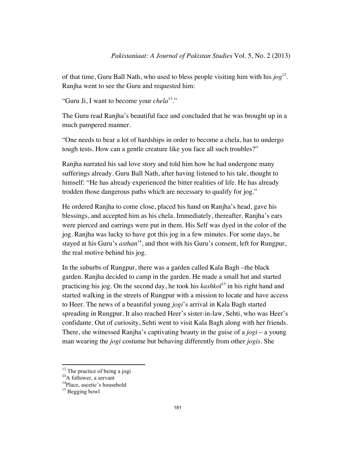of that time, Guru Ball Nath, who used to bless people visiting him with his *jog*12. Ranjha went to see the Guru and requested him:

"Guru Ji, I want to become your *chela*13."

The Guru read Ranjha's beautiful face and concluded that he was brought up in a much pampered manner.

"One needs to bear a lot of hardships in order to become a chela, has to undergo tough tests. How can a gentle creature like you face all such troubles?"

Ranjha narrated his sad love story and told him how he had undergone many sufferings already. Guru Ball Nath, after having listened to his tale, thought to himself: "He has already experienced the bitter realities of life. He has already trodden those dangerous paths which are necessary to qualify for jog."

He ordered Ranjha to come close, placed his hand on Ranjha's head, gave his blessings, and accepted him as his chela. Immediately, thereafter, Ranjha's ears were pierced and earrings were put in them. His Self was dyed in the color of the jog. Ranjha was lucky to have got this jog in a few minutes. For some days, he stayed at his Guru's *asthan*<sup>14</sup>, and then with his Guru's consent, left for Rungpur, the real motive behind his jog.

In the suburbs of Rungpur, there was a garden called Kala Bagh –the black garden. Ranjha decided to camp in the garden. He made a small hut and started practicing his jog. On the second day, he took his *kashkol*<sup>15</sup> in his right hand and started walking in the streets of Rungpur with a mission to locate and have access to Heer. The news of a beautiful young *jogi*'s arrival in Kala Bagh started spreading in Rungpur. It also reached Heer's sister-in-law, Sehti, who was Heer's confidante. Out of curiosity, Sehti went to visit Kala Bagh along with her friends. There, she witnessed Ranjha's captivating beauty in the guise of a *jogi* – a young man wearing the *jogi* costume but behaving differently from other *jogis*. She

<sup>&</sup>lt;sup>12</sup> The practice of being a jogi<br><sup>13</sup>A follower, a servant

 $<sup>14</sup>$ Place, ascetic's household</sup>

 $15$  Begging bowl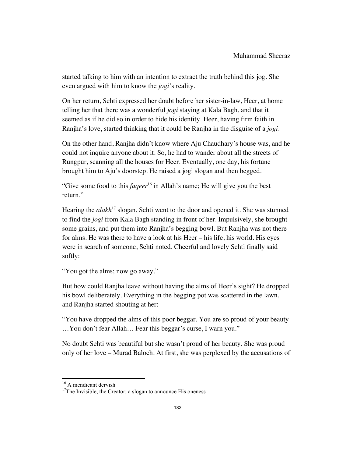started talking to him with an intention to extract the truth behind this jog. She even argued with him to know the *jogi*'s reality.

On her return, Sehti expressed her doubt before her sister-in-law, Heer, at home telling her that there was a wonderful *jogi* staying at Kala Bagh, and that it seemed as if he did so in order to hide his identity. Heer, having firm faith in Ranjha's love, started thinking that it could be Ranjha in the disguise of a *jogi*.

On the other hand, Ranjha didn't know where Aju Chaudhary's house was, and he could not inquire anyone about it. So, he had to wander about all the streets of Rungpur, scanning all the houses for Heer. Eventually, one day, his fortune brought him to Aju's doorstep. He raised a jogi slogan and then begged.

"Give some food to this *faqeer*<sup>16</sup> in Allah's name; He will give you the best return."

Hearing the *alakh*<sup>17</sup> slogan, Sehti went to the door and opened it. She was stunned to find the *jogi* from Kala Bagh standing in front of her. Impulsively, she brought some grains, and put them into Ranjha's begging bowl. But Ranjha was not there for alms. He was there to have a look at his Heer – his life, his world. His eyes were in search of someone, Sehti noted. Cheerful and lovely Sehti finally said softly:

"You got the alms; now go away."

But how could Ranjha leave without having the alms of Heer's sight? He dropped his bowl deliberately. Everything in the begging pot was scattered in the lawn, and Ranjha started shouting at her:

"You have dropped the alms of this poor beggar. You are so proud of your beauty …You don't fear Allah… Fear this beggar's curse, I warn you."

No doubt Sehti was beautiful but she wasn't proud of her beauty. She was proud only of her love – Murad Baloch. At first, she was perplexed by the accusations of

<sup>&</sup>lt;sup>16</sup> A mendicant dervish  $17$ The Invisible, the Creator; a slogan to announce His oneness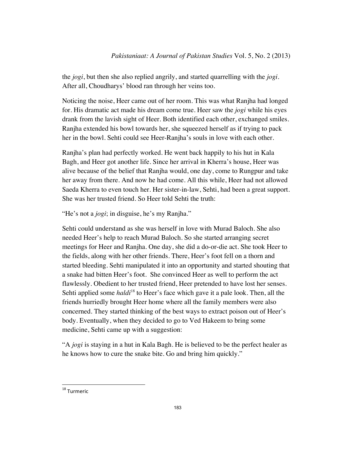the *jogi*, but then she also replied angrily, and started quarrelling with the *jogi*. After all, Choudharys' blood ran through her veins too.

Noticing the noise, Heer came out of her room. This was what Ranjha had longed for. His dramatic act made his dream come true. Heer saw the *jogi* while his eyes drank from the lavish sight of Heer. Both identified each other, exchanged smiles. Ranjha extended his bowl towards her, she squeezed herself as if trying to pack her in the bowl. Sehti could see Heer-Ranjha's souls in love with each other.

Ranjha's plan had perfectly worked. He went back happily to his hut in Kala Bagh, and Heer got another life. Since her arrival in Kherra's house, Heer was alive because of the belief that Ranjha would, one day, come to Rungpur and take her away from there. And now he had come. All this while, Heer had not allowed Saeda Kherra to even touch her. Her sister-in-law, Sehti, had been a great support. She was her trusted friend. So Heer told Sehti the truth:

"He's not a *jogi*; in disguise, he's my Ranjha."

Sehti could understand as she was herself in love with Murad Baloch. She also needed Heer's help to reach Murad Baloch. So she started arranging secret meetings for Heer and Ranjha. One day, she did a do-or-die act. She took Heer to the fields, along with her other friends. There, Heer's foot fell on a thorn and started bleeding. Sehti manipulated it into an opportunity and started shouting that a snake had bitten Heer's foot. She convinced Heer as well to perform the act flawlessly. Obedient to her trusted friend, Heer pretended to have lost her senses. Sehti applied some *haldi*<sup>18</sup> to Heer's face which gave it a pale look. Then, all the friends hurriedly brought Heer home where all the family members were also concerned. They started thinking of the best ways to extract poison out of Heer's body. Eventually, when they decided to go to Ved Hakeem to bring some medicine, Sehti came up with a suggestion:

"A *jogi* is staying in a hut in Kala Bagh. He is believed to be the perfect healer as he knows how to cure the snake bite. Go and bring him quickly."

<sup>18</sup> Turmeric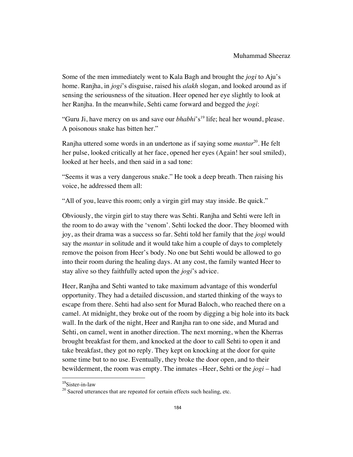Some of the men immediately went to Kala Bagh and brought the *jogi* to Aju's home. Ranjha, in *jogi*'s disguise, raised his *alakh* slogan, and looked around as if sensing the seriousness of the situation. Heer opened her eye slightly to look at her Ranjha. In the meanwhile, Sehti came forward and begged the *jogi*:

"Guru Ji, have mercy on us and save our *bhabhi*'s<sup>19</sup> life; heal her wound, please. A poisonous snake has bitten her."

Ranjha uttered some words in an undertone as if saying some *mantar*20. He felt her pulse, looked critically at her face, opened her eyes (Again! her soul smiled), looked at her heels, and then said in a sad tone:

"Seems it was a very dangerous snake." He took a deep breath. Then raising his voice, he addressed them all:

"All of you, leave this room; only a virgin girl may stay inside. Be quick."

Obviously, the virgin girl to stay there was Sehti. Ranjha and Sehti were left in the room to do away with the 'venom'. Sehti locked the door. They bloomed with joy, as their drama was a success so far. Sehti told her family that the *jogi* would say the *mantar* in solitude and it would take him a couple of days to completely remove the poison from Heer's body. No one but Sehti would be allowed to go into their room during the healing days. At any cost, the family wanted Heer to stay alive so they faithfully acted upon the *jogi*'s advice.

Heer, Ranjha and Sehti wanted to take maximum advantage of this wonderful opportunity. They had a detailed discussion, and started thinking of the ways to escape from there. Sehti had also sent for Murad Baloch, who reached there on a camel. At midnight, they broke out of the room by digging a big hole into its back wall. In the dark of the night, Heer and Ranjha ran to one side, and Murad and Sehti, on camel, went in another direction. The next morning, when the Kherras brought breakfast for them, and knocked at the door to call Sehti to open it and take breakfast, they got no reply. They kept on knocking at the door for quite some time but to no use. Eventually, they broke the door open, and to their bewilderment, the room was empty. The inmates –Heer, Sehti or the *jogi* – had

<sup>&</sup>lt;sup>19</sup>Sister-in-law

 $20$  Sacred utterances that are repeated for certain effects such healing, etc.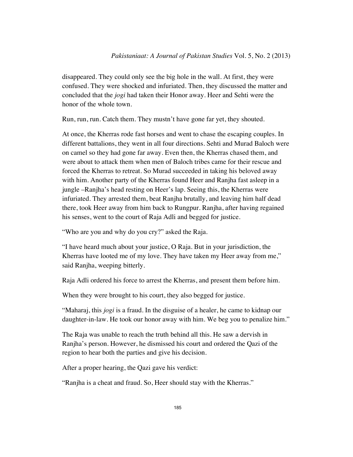disappeared. They could only see the big hole in the wall. At first, they were confused. They were shocked and infuriated. Then, they discussed the matter and concluded that the *jogi* had taken their Honor away. Heer and Sehti were the honor of the whole town.

Run, run, run. Catch them. They mustn't have gone far yet, they shouted.

At once, the Kherras rode fast horses and went to chase the escaping couples. In different battalions, they went in all four directions. Sehti and Murad Baloch were on camel so they had gone far away. Even then, the Kherras chased them, and were about to attack them when men of Baloch tribes came for their rescue and forced the Kherras to retreat. So Murad succeeded in taking his beloved away with him. Another party of the Kherras found Heer and Ranjha fast asleep in a jungle –Ranjha's head resting on Heer's lap. Seeing this, the Kherras were infuriated. They arrested them, beat Ranjha brutally, and leaving him half dead there, took Heer away from him back to Rungpur. Ranjha, after having regained his senses, went to the court of Raja Adli and begged for justice.

"Who are you and why do you cry?" asked the Raja.

"I have heard much about your justice, O Raja. But in your jurisdiction, the Kherras have looted me of my love. They have taken my Heer away from me," said Ranjha, weeping bitterly.

Raja Adli ordered his force to arrest the Kherras, and present them before him.

When they were brought to his court, they also begged for justice.

"Maharaj, this *jogi* is a fraud. In the disguise of a healer, he came to kidnap our daughter-in-law. He took our honor away with him. We beg you to penalize him."

The Raja was unable to reach the truth behind all this. He saw a dervish in Ranjha's person. However, he dismissed his court and ordered the Qazi of the region to hear both the parties and give his decision.

After a proper hearing, the Qazi gave his verdict:

"Ranjha is a cheat and fraud. So, Heer should stay with the Kherras."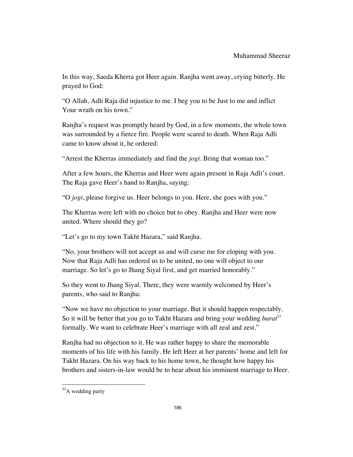In this way, Saeda Kherra got Heer again. Ranjha went away, crying bitterly. He prayed to God:

"O Allah, Adli Raja did injustice to me. I beg you to be Just to me and inflict Your wrath on his town."

Ranjha's request was promptly heard by God, in a few moments, the whole town was surrounded by a fierce fire. People were scared to death. When Raja Adli came to know about it, he ordered:

"Arrest the Kherras immediately and find the *jogi*. Bring that woman too."

After a few hours, the Kherras and Heer were again present in Raja Adli's court. The Raja gave Heer's hand to Ranjha, saying:

"O *jogi*, please forgive us. Heer belongs to you. Here, she goes with you."

The Kherras were left with no choice but to obey. Ranjha and Heer were now united. Where should they go?

"Let's go to my town Takht Hazara," said Ranjha.

"No, your brothers will not accept us and will curse me for eloping with you. Now that Raja Adli has ordered us to be united, no one will object to our marriage. So let's go to Jhang Siyal first, and get married honorably."

So they went to Jhang Siyal. There, they were warmly welcomed by Heer's parents, who said to Ranjha:

"Now we have no objection to your marriage. But it should happen respectably. So it will be better that you go to Takht Hazara and bring your wedding *barat*<sup>21</sup> formally. We want to celebrate Heer's marriage with all zeal and zest."

Ranjha had no objection to it. He was rather happy to share the memorable moments of his life with his family. He left Heer at her parents' home and left for Takht Hazara. On his way back to his home town, he thought how happy his brothers and sisters-in-law would be to hear about his imminent marriage to Heer.

 $21$ A wedding party